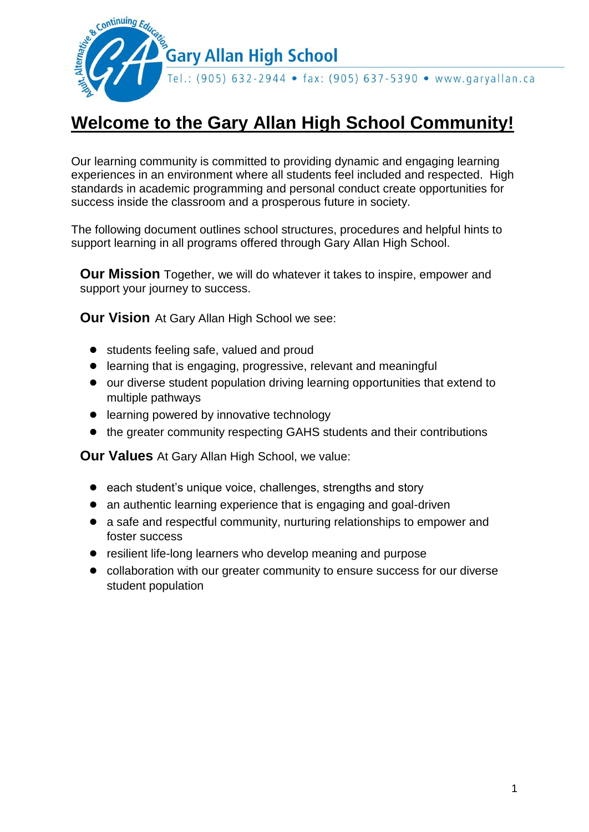

# **Welcome to the Gary Allan High School Community!**

Our learning community is committed to providing dynamic and engaging learning experiences in an environment where all students feel included and respected. High standards in academic programming and personal conduct create opportunities for success inside the classroom and a prosperous future in society.

The following document outlines school structures, procedures and helpful hints to support learning in all programs offered through Gary Allan High School.

**Our Mission** Together, we will do whatever it takes to inspire, empower and support your journey to success.

**Our Vision** At Gary Allan High School we see:

- students feeling safe, valued and proud
- learning that is engaging, progressive, relevant and meaningful
- our diverse student population driving learning opportunities that extend to multiple pathways
- learning powered by innovative technology
- the greater community respecting GAHS students and their contributions

**Our Values** At Gary Allan High School, we value:

- each student's unique voice, challenges, strengths and story
- an authentic learning experience that is engaging and goal-driven
- a safe and respectful community, nurturing relationships to empower and foster success
- resilient life-long learners who develop meaning and purpose
- collaboration with our greater community to ensure success for our diverse student population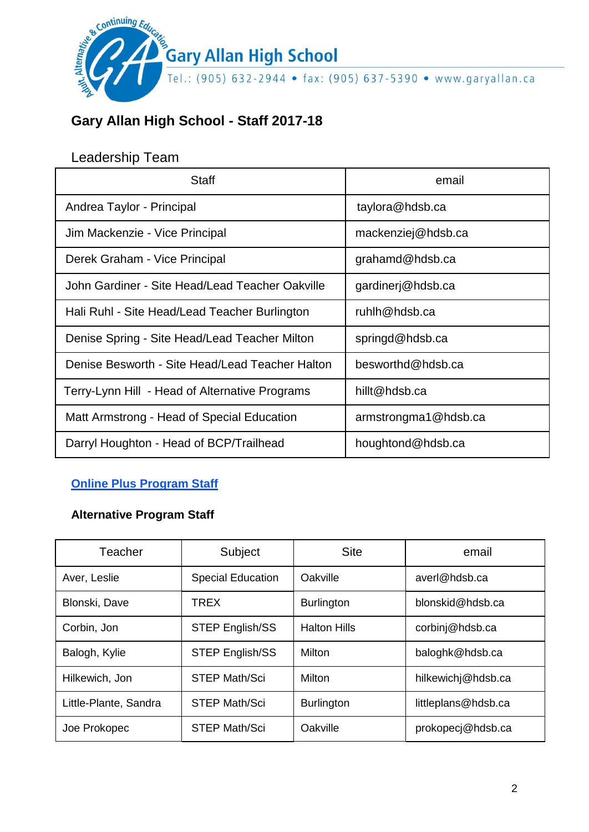

# **Gary Allan High School - Staff 2017-18**

# Leadership Team

| <b>Staff</b>                                                       | email              |  |
|--------------------------------------------------------------------|--------------------|--|
| Andrea Taylor - Principal                                          | taylora@hdsb.ca    |  |
| Jim Mackenzie - Vice Principal                                     | mackenziej@hdsb.ca |  |
| Derek Graham - Vice Principal                                      | grahamd@hdsb.ca    |  |
| John Gardiner - Site Head/Lead Teacher Oakville                    | gardinerj@hdsb.ca  |  |
| Hali Ruhl - Site Head/Lead Teacher Burlington                      | ruhlh@hdsb.ca      |  |
| Denise Spring - Site Head/Lead Teacher Milton                      | springd@hdsb.ca    |  |
| Denise Besworth - Site Head/Lead Teacher Halton                    | besworthd@hdsb.ca  |  |
| Terry-Lynn Hill - Head of Alternative Programs                     | hillt@hdsb.ca      |  |
| Matt Armstrong - Head of Special Education<br>armstrongma1@hdsb.ca |                    |  |
| Darryl Houghton - Head of BCP/Trailhead                            | houghtond@hdsb.ca  |  |

### **[Online Plus Program Staff](https://docs.google.com/spreadsheets/d/1wWpqFBxDoExC6BYVKk-1dL_PFSiJ999vDfvzKIW1iwc/edit?usp=sharing)**

### **Alternative Program Staff**

| Teacher               | Subject                  | <b>Site</b>         | email               |
|-----------------------|--------------------------|---------------------|---------------------|
| Aver, Leslie          | <b>Special Education</b> | Oakville            | averl@hdsb.ca       |
| Blonski, Dave         | <b>TREX</b>              | <b>Burlington</b>   | blonskid@hdsb.ca    |
| Corbin, Jon           | <b>STEP English/SS</b>   | <b>Halton Hills</b> | corbinj@hdsb.ca     |
| Balogh, Kylie         | <b>STEP English/SS</b>   | Milton              | baloghk@hdsb.ca     |
| Hilkewich, Jon        | <b>STEP Math/Sci</b>     | Milton              | hilkewichj@hdsb.ca  |
| Little-Plante, Sandra | <b>STEP Math/Sci</b>     | <b>Burlington</b>   | littleplans@hdsb.ca |
| Joe Prokopec          | <b>STEP Math/Sci</b>     | Oakville            | prokopecj@hdsb.ca   |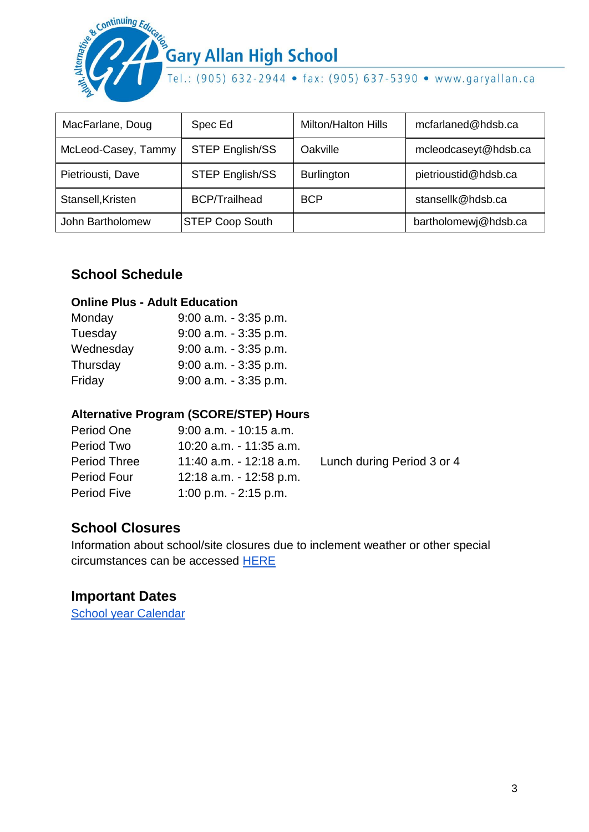

| MacFarlane, Doug    | Spec Ed                | Milton/Halton Hills | mcfarlaned@hdsb.ca   |
|---------------------|------------------------|---------------------|----------------------|
| McLeod-Casey, Tammy | <b>STEP English/SS</b> | Oakville            | mcleodcaseyt@hdsb.ca |
| Pietriousti, Dave   | <b>STEP English/SS</b> | <b>Burlington</b>   | pietrioustid@hdsb.ca |
| Stansell, Kristen   | <b>BCP/Trailhead</b>   | <b>BCP</b>          | stansellk@hdsb.ca    |
| John Bartholomew    | <b>STEP Coop South</b> |                     | bartholomewj@hdsb.ca |

### **School Schedule**

#### **Online Plus - Adult Education**

| Monday    | $9:00$ a.m. $-3:35$ p.m. |
|-----------|--------------------------|
| Tuesday   | $9:00$ a.m. $-3:35$ p.m. |
| Wednesday | $9:00$ a.m. $-3:35$ p.m. |
| Thursday  | $9:00$ a.m. $-3:35$ p.m. |
| Friday    | $9:00$ a.m. $-3:35$ p.m. |

### **Alternative Program (SCORE/STEP) Hours**

| Period One   | $9:00$ a.m. $-10:15$ a.m. |                            |
|--------------|---------------------------|----------------------------|
| Period Two   | 10:20 a.m. - 11:35 a.m.   |                            |
| Period Three | 11:40 a.m. - 12:18 a.m.   | Lunch during Period 3 or 4 |
| Period Four  | 12:18 a.m. - 12:58 p.m.   |                            |
| Period Five  | $1:00$ p.m. $-2:15$ p.m.  |                            |

# **School Closures**

Information about school/site closures due to inclement weather or other special circumstances can be accessed [HERE](https://www.hdsb.ca/parents/Pages/Bus-Cancellation-and-School-Closure-%E2%80%93-Inclement-Weather.aspx)

### **Important Dates**

[School year Calendar](https://www.hdsb.ca/Documents/school-year-calendar.pdf)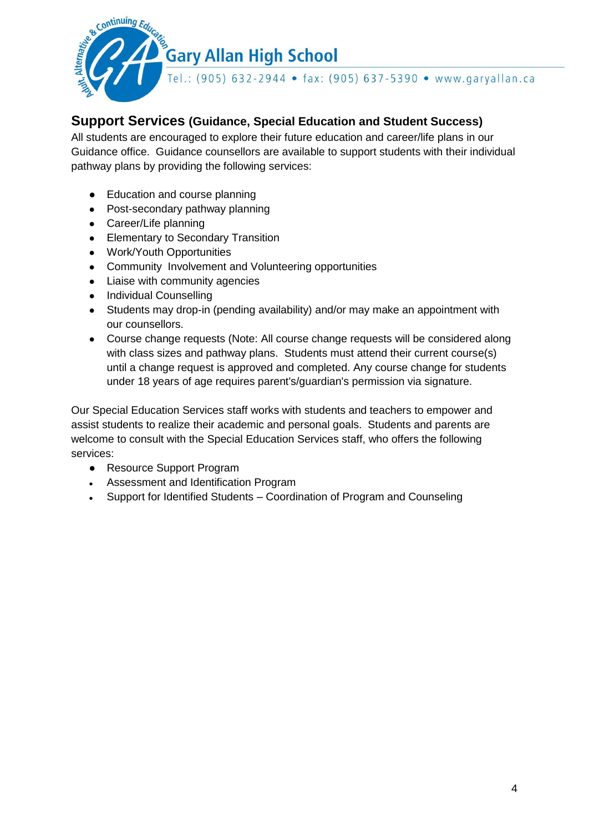

### **Support Services (Guidance, Special Education and Student Success)**

All students are encouraged to explore their future education and career/life plans in our Guidance office. Guidance counsellors are available to support students with their individual pathway plans by providing the following services:

- Education and course planning
- Post-secondary pathway planning
- Career/Life planning
- Elementary to Secondary Transition
- Work/Youth Opportunities
- Community Involvement and Volunteering opportunities
- Liaise with community agencies
- Individual Counselling
- Students may drop-in (pending availability) and/or may make an appointment with our counsellors.
- Course change requests (Note: All course change requests will be considered along with class sizes and pathway plans. Students must attend their current course(s) until a change request is approved and completed. Any course change for students under 18 years of age requires parent's/guardian's permission via signature.

Our Special Education Services staff works with students and teachers to empower and assist students to realize their academic and personal goals. Students and parents are welcome to consult with the Special Education Services staff, who offers the following services:

- Resource Support Program
- Assessment and Identification Program
- Support for Identified Students Coordination of Program and Counseling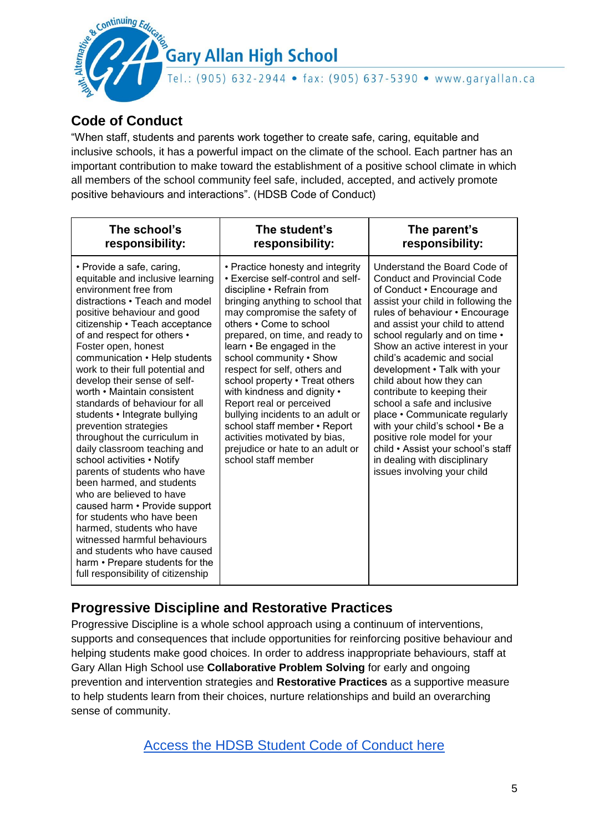**Gary Allan High School** 

# **Code of Conduct**

Continuing Ed

"When staff, students and parents work together to create safe, caring, equitable and inclusive schools, it has a powerful impact on the climate of the school. Each partner has an important contribution to make toward the establishment of a positive school climate in which all members of the school community feel safe, included, accepted, and actively promote positive behaviours and interactions". (HDSB Code of Conduct)

| The school's                                                                                                                                                                                                                                                                                                                                                                                                                                                                                                                                                                                                                                                                                                                                                                                                                                                                                                | The student's                                                                                                                                                                                                                                                                                                                                                                                                                                                                                                                                                                              | The parent's                                                                                                                                                                                                                                                                                                                                                                                                                                                                                                                                                                                                                                       |
|-------------------------------------------------------------------------------------------------------------------------------------------------------------------------------------------------------------------------------------------------------------------------------------------------------------------------------------------------------------------------------------------------------------------------------------------------------------------------------------------------------------------------------------------------------------------------------------------------------------------------------------------------------------------------------------------------------------------------------------------------------------------------------------------------------------------------------------------------------------------------------------------------------------|--------------------------------------------------------------------------------------------------------------------------------------------------------------------------------------------------------------------------------------------------------------------------------------------------------------------------------------------------------------------------------------------------------------------------------------------------------------------------------------------------------------------------------------------------------------------------------------------|----------------------------------------------------------------------------------------------------------------------------------------------------------------------------------------------------------------------------------------------------------------------------------------------------------------------------------------------------------------------------------------------------------------------------------------------------------------------------------------------------------------------------------------------------------------------------------------------------------------------------------------------------|
| responsibility:                                                                                                                                                                                                                                                                                                                                                                                                                                                                                                                                                                                                                                                                                                                                                                                                                                                                                             | responsibility:                                                                                                                                                                                                                                                                                                                                                                                                                                                                                                                                                                            | responsibility:                                                                                                                                                                                                                                                                                                                                                                                                                                                                                                                                                                                                                                    |
| • Provide a safe, caring,<br>equitable and inclusive learning<br>environment free from<br>distractions • Teach and model<br>positive behaviour and good<br>citizenship • Teach acceptance<br>of and respect for others •<br>Foster open, honest<br>communication • Help students<br>work to their full potential and<br>develop their sense of self-<br>worth • Maintain consistent<br>standards of behaviour for all<br>students • Integrate bullying<br>prevention strategies<br>throughout the curriculum in<br>daily classroom teaching and<br>school activities • Notify<br>parents of students who have<br>been harmed, and students<br>who are believed to have<br>caused harm • Provide support<br>for students who have been<br>harmed, students who have<br>witnessed harmful behaviours<br>and students who have caused<br>harm • Prepare students for the<br>full responsibility of citizenship | • Practice honesty and integrity<br>• Exercise self-control and self-<br>discipline • Refrain from<br>bringing anything to school that<br>may compromise the safety of<br>others • Come to school<br>prepared, on time, and ready to<br>learn • Be engaged in the<br>school community . Show<br>respect for self, others and<br>school property • Treat others<br>with kindness and dignity •<br>Report real or perceived<br>bullying incidents to an adult or<br>school staff member • Report<br>activities motivated by bias,<br>prejudice or hate to an adult or<br>school staff member | Understand the Board Code of<br><b>Conduct and Provincial Code</b><br>of Conduct • Encourage and<br>assist your child in following the<br>rules of behaviour • Encourage<br>and assist your child to attend<br>school regularly and on time .<br>Show an active interest in your<br>child's academic and social<br>development • Talk with your<br>child about how they can<br>contribute to keeping their<br>school a safe and inclusive<br>place • Communicate regularly<br>with your child's school • Be a<br>positive role model for your<br>child • Assist your school's staff<br>in dealing with disciplinary<br>issues involving your child |

# **Progressive Discipline and Restorative Practices**

Progressive Discipline is a whole school approach using a continuum of interventions, supports and consequences that include opportunities for reinforcing positive behaviour and helping students make good choices. In order to address inappropriate behaviours, staff at Gary Allan High School use **Collaborative Problem Solving** for early and ongoing prevention and intervention strategies and **Restorative Practices** as a supportive measure to help students learn from their choices, nurture relationships and build an overarching sense of community.

[Access the HDSB Student Code of Conduct here](https://www.hdsb.ca/students/Pages/Safe%20and%20Accepting%20Schools/Code-of-Conduct.aspx)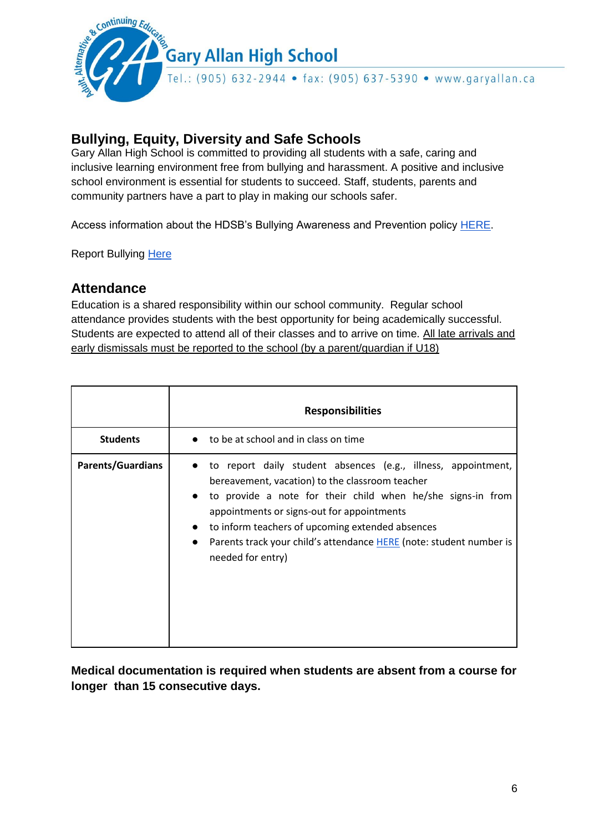

Tel.: (905) 632-2944 • fax: (905) 637-5390 • www.garyallan.ca

### **Bullying, Equity, Diversity and Safe Schools**

Gary Allan High School is committed to providing all students with a safe, caring and inclusive learning environment free from bullying and harassment. A positive and inclusive school environment is essential for students to succeed. Staff, students, parents and community partners have a part to play in making our schools safer.

Access information about the HDSB's Bullying Awareness and Prevention policy [HERE.](https://www.hdsb.ca/parents/Pages/Safe%20and%20Accepting%20Schools/Bullying-Prevention-and-Awareness.aspx)

Report Bullying [Here](https://reportbullying.hdsb.ca/)

Continuing Ed

#### **Attendance**

Education is a shared responsibility within our school community. Regular school attendance provides students with the best opportunity for being academically successful. Students are expected to attend all of their classes and to arrive on time. All late arrivals and early dismissals must be reported to the school (by a parent/guardian if U18)

|                          | <b>Responsibilities</b>                                                                                                                                                                                                                                                                                                                                                                                   |
|--------------------------|-----------------------------------------------------------------------------------------------------------------------------------------------------------------------------------------------------------------------------------------------------------------------------------------------------------------------------------------------------------------------------------------------------------|
| <b>Students</b>          | • to be at school and in class on time                                                                                                                                                                                                                                                                                                                                                                    |
| <b>Parents/Guardians</b> | to report daily student absences (e.g., illness, appointment,<br>bereavement, vacation) to the classroom teacher<br>• to provide a note for their child when he/she signs-in from<br>appointments or signs-out for appointments<br>to inform teachers of upcoming extended absences<br>$\bullet$<br>Parents track your child's attendance HERE (note: student number is<br>$\bullet$<br>needed for entry) |

#### **Medical documentation is required when students are absent from a course for longer than 15 consecutive days.**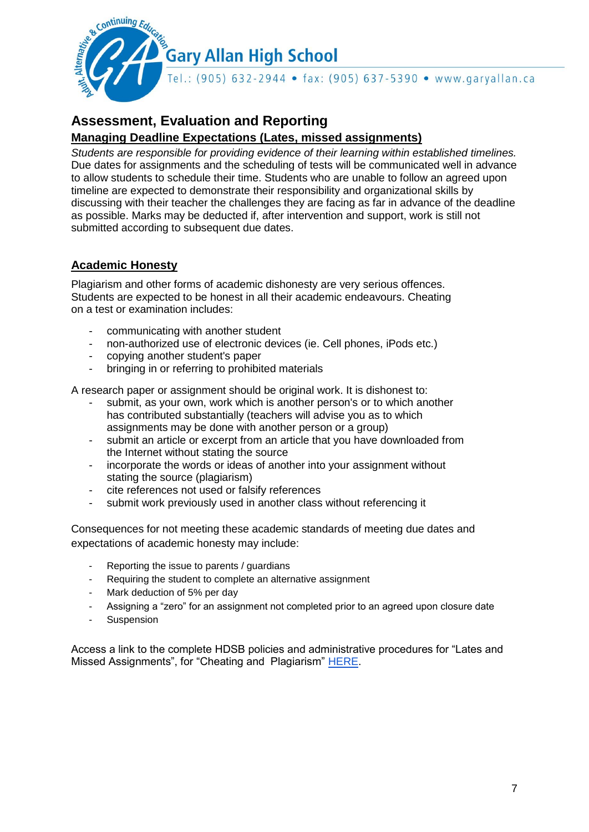

Tel.: (905) 632-2944 • fax: (905) 637-5390 • www.garyallan.ca

# **Assessment, Evaluation and Reporting**

#### **Managing Deadline Expectations (Lates, missed assignments)**

*Students are responsible for providing evidence of their learning within established timelines.* Due dates for assignments and the scheduling of tests will be communicated well in advance to allow students to schedule their time. Students who are unable to follow an agreed upon timeline are expected to demonstrate their responsibility and organizational skills by discussing with their teacher the challenges they are facing as far in advance of the deadline as possible. Marks may be deducted if, after intervention and support, work is still not submitted according to subsequent due dates.

#### **Academic Honesty**

& Continuing Edu

Plagiarism and other forms of academic dishonesty are very serious offences. Students are expected to be honest in all their academic endeavours. Cheating on a test or examination includes:

- communicating with another student
- non-authorized use of electronic devices (ie. Cell phones, iPods etc.)
- copying another student's paper
- bringing in or referring to prohibited materials

A research paper or assignment should be original work. It is dishonest to:

- submit, as your own, work which is another person's or to which another has contributed substantially (teachers will advise you as to which assignments may be done with another person or a group)
- submit an article or excerpt from an article that you have downloaded from the Internet without stating the source
- incorporate the words or ideas of another into your assignment without stating the source (plagiarism)
- cite references not used or falsify references
- submit work previously used in another class without referencing it

Consequences for not meeting these academic standards of meeting due dates and expectations of academic honesty may include:

- Reporting the issue to parents / guardians
- Requiring the student to complete an alternative assignment
- Mark deduction of 5% per day
- Assigning a "zero" for an assignment not completed prior to an agreed upon closure date
- **Suspension**

Access a link to the complete HDSB policies and administrative procedures for "Lates and Missed Assignments", for "Cheating and Plagiarism" [HERE.](https://www.hdsb.ca/our-board/Policy/AssessAndEvalPracticesGr7-12.pdf#search=Cheating%20and%20%20Plagiarism)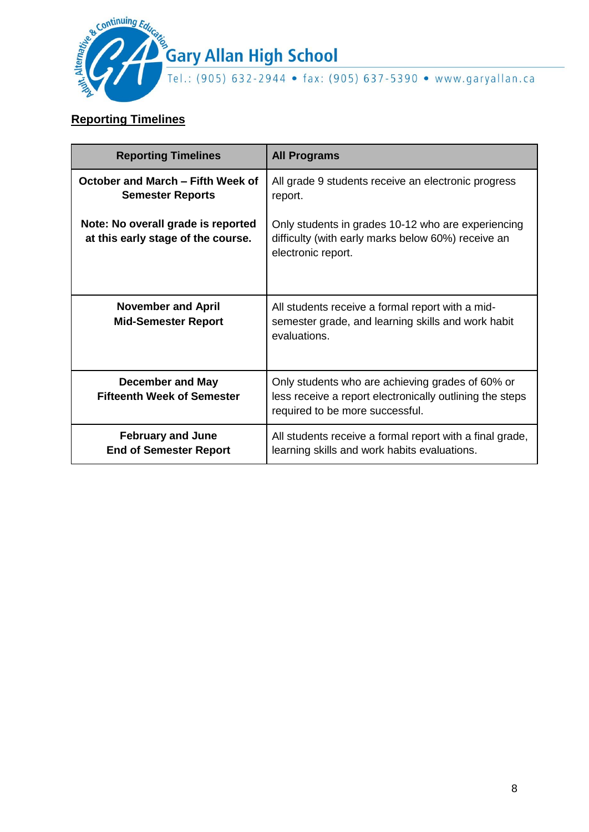

### **Reporting Timelines**

| <b>Reporting Timelines</b>                                               | <b>All Programs</b>                                                                                                                             |
|--------------------------------------------------------------------------|-------------------------------------------------------------------------------------------------------------------------------------------------|
| October and March – Fifth Week of<br><b>Semester Reports</b>             | All grade 9 students receive an electronic progress<br>report.                                                                                  |
| Note: No overall grade is reported<br>at this early stage of the course. | Only students in grades 10-12 who are experiencing<br>difficulty (with early marks below 60%) receive an<br>electronic report.                  |
| <b>November and April</b><br><b>Mid-Semester Report</b>                  | All students receive a formal report with a mid-<br>semester grade, and learning skills and work habit<br>evaluations.                          |
| <b>December and May</b><br><b>Fifteenth Week of Semester</b>             | Only students who are achieving grades of 60% or<br>less receive a report electronically outlining the steps<br>required to be more successful. |
| <b>February and June</b><br><b>End of Semester Report</b>                | All students receive a formal report with a final grade,<br>learning skills and work habits evaluations.                                        |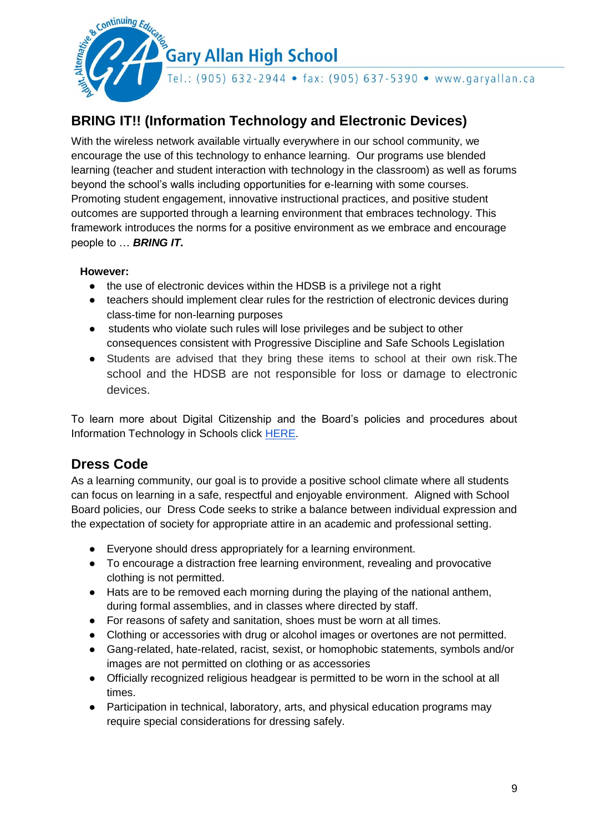

# **BRING IT!! (Information Technology and Electronic Devices)**

With the wireless network available virtually everywhere in our school community, we encourage the use of this technology to enhance learning. Our programs use blended learning (teacher and student interaction with technology in the classroom) as well as forums beyond the school's walls including opportunities for e-learning with some courses. Promoting student engagement, innovative instructional practices, and positive student outcomes are supported through a learning environment that embraces technology. This framework introduces the norms for a positive environment as we embrace and encourage people to … *BRING IT.*

#### **However:**

- the use of electronic devices within the HDSB is a privilege not a right
- teachers should implement clear rules for the restriction of electronic devices during class-time for non-learning purposes
- students who violate such rules will lose privileges and be subject to other consequences consistent with Progressive Discipline and Safe Schools Legislation
- Students are advised that they bring these items to school at their own risk.The school and the HDSB are not responsible for loss or damage to electronic devices.

To learn more about Digital Citizenship and the Board's policies and procedures about Information Technology in Schools click [HERE.](https://www.hdsb.ca/parents/Pages/Technology%20%26%20You/Digital-Citizenship.aspx)

# **Dress Code**

As a learning community, our goal is to provide a positive school climate where all students can focus on learning in a safe, respectful and enjoyable environment. Aligned with School Board policies, our Dress Code seeks to strike a balance between individual expression and the expectation of society for appropriate attire in an academic and professional setting.

- Everyone should dress appropriately for a learning environment.
- To encourage a distraction free learning environment, revealing and provocative clothing is not permitted.
- Hats are to be removed each morning during the playing of the national anthem, during formal assemblies, and in classes where directed by staff.
- For reasons of safety and sanitation, shoes must be worn at all times.
- Clothing or accessories with drug or alcohol images or overtones are not permitted.
- Gang-related, hate-related, racist, sexist, or homophobic statements, symbols and/or images are not permitted on clothing or as accessories
- Officially recognized religious headgear is permitted to be worn in the school at all times.
- Participation in technical, laboratory, arts, and physical education programs may require special considerations for dressing safely.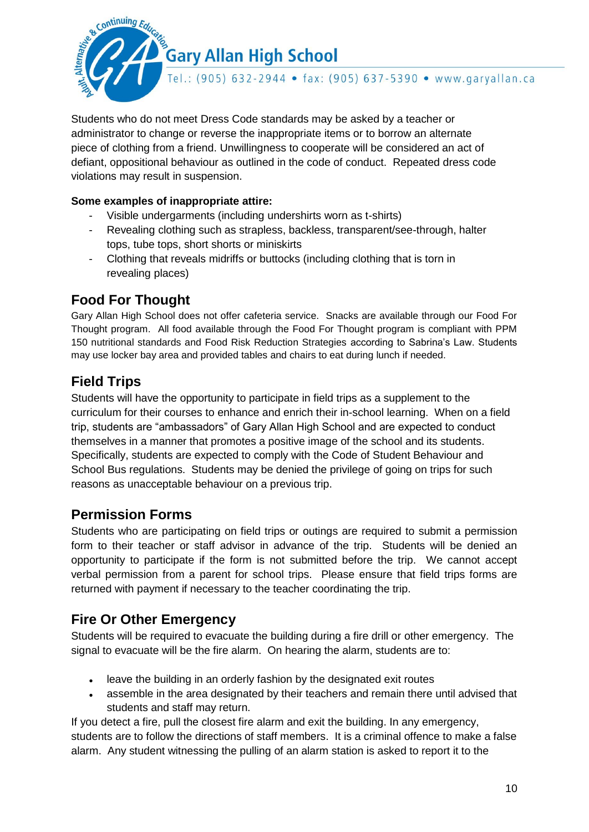

Students who do not meet Dress Code standards may be asked by a teacher or administrator to change or reverse the inappropriate items or to borrow an alternate piece of clothing from a friend. Unwillingness to cooperate will be considered an act of defiant, oppositional behaviour as outlined in the code of conduct. Repeated dress code violations may result in suspension.

#### **Some examples of inappropriate attire:**

- Visible undergarments (including undershirts worn as t-shirts)
- Revealing clothing such as strapless, backless, transparent/see-through, halter tops, tube tops, short shorts or miniskirts
- Clothing that reveals midriffs or buttocks (including clothing that is torn in revealing places)

### **Food For Thought**

Continuing Edl

Gary Allan High School does not offer cafeteria service. Snacks are available through our Food For Thought program. All food available through the Food For Thought program is compliant with PPM 150 nutritional standards and Food Risk Reduction Strategies according to Sabrina's Law. Students may use locker bay area and provided tables and chairs to eat during lunch if needed.

# **Field Trips**

Students will have the opportunity to participate in field trips as a supplement to the curriculum for their courses to enhance and enrich their in-school learning. When on a field trip, students are "ambassadors" of Gary Allan High School and are expected to conduct themselves in a manner that promotes a positive image of the school and its students. Specifically, students are expected to comply with the Code of Student Behaviour and School Bus regulations. Students may be denied the privilege of going on trips for such reasons as unacceptable behaviour on a previous trip.

### **Permission Forms**

Students who are participating on field trips or outings are required to submit a permission form to their teacher or staff advisor in advance of the trip. Students will be denied an opportunity to participate if the form is not submitted before the trip. We cannot accept verbal permission from a parent for school trips. Please ensure that field trips forms are returned with payment if necessary to the teacher coordinating the trip.

# **Fire Or Other Emergency**

Students will be required to evacuate the building during a fire drill or other emergency. The signal to evacuate will be the fire alarm. On hearing the alarm, students are to:

- leave the building in an orderly fashion by the designated exit routes
- assemble in the area designated by their teachers and remain there until advised that students and staff may return.

If you detect a fire, pull the closest fire alarm and exit the building. In any emergency, students are to follow the directions of staff members. It is a criminal offence to make a false alarm. Any student witnessing the pulling of an alarm station is asked to report it to the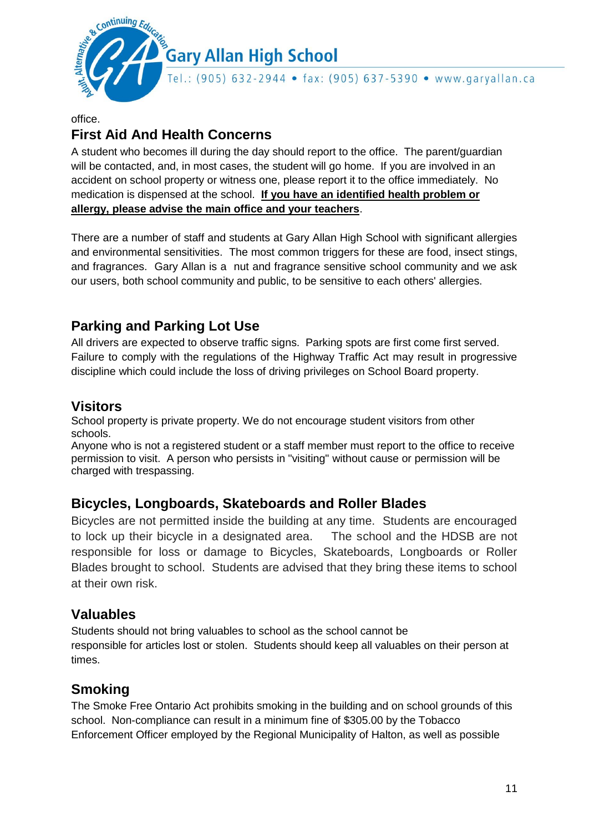

#### office. **First Aid And Health Concerns**

A student who becomes ill during the day should report to the office. The parent/guardian will be contacted, and, in most cases, the student will go home. If you are involved in an accident on school property or witness one, please report it to the office immediately. No medication is dispensed at the school. **If you have an identified health problem or allergy, please advise the main office and your teachers**.

There are a number of staff and students at Gary Allan High School with significant allergies and environmental sensitivities. The most common triggers for these are food, insect stings, and fragrances. Gary Allan is a nut and fragrance sensitive school community and we ask our users, both school community and public, to be sensitive to each others' allergies.

# **Parking and Parking Lot Use**

All drivers are expected to observe traffic signs. Parking spots are first come first served. Failure to comply with the regulations of the Highway Traffic Act may result in progressive discipline which could include the loss of driving privileges on School Board property.

### **Visitors**

School property is private property. We do not encourage student visitors from other schools.

Anyone who is not a registered student or a staff member must report to the office to receive permission to visit. A person who persists in "visiting" without cause or permission will be charged with trespassing.

# **Bicycles, Longboards, Skateboards and Roller Blades**

Bicycles are not permitted inside the building at any time. Students are encouraged to lock up their bicycle in a designated area. The school and the HDSB are not responsible for loss or damage to Bicycles, Skateboards, Longboards or Roller Blades brought to school. Students are advised that they bring these items to school at their own risk.

### **Valuables**

Students should not bring valuables to school as the school cannot be responsible for articles lost or stolen. Students should keep all valuables on their person at times.

# **Smoking**

The Smoke Free Ontario Act prohibits smoking in the building and on school grounds of this school. Non-compliance can result in a minimum fine of \$305.00 by the Tobacco Enforcement Officer employed by the Regional Municipality of Halton, as well as possible